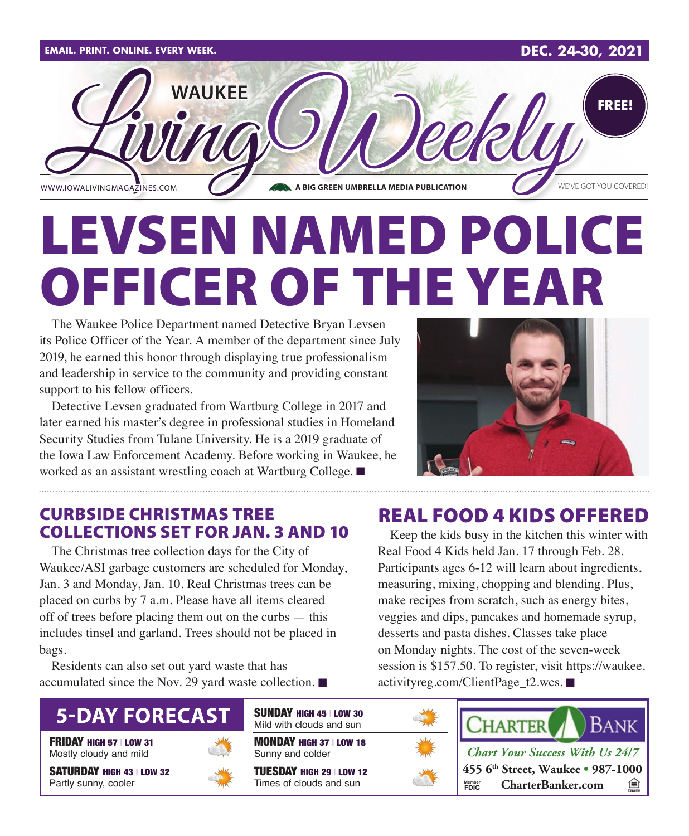

# LEVSEN NAMED POLICE OFFICER OF THE YEAR

The Waukee Police Department named Detective Bryan Levsen its Police Officer of the Year. A member of the department since July 2019, he earned this honor through displaying true professionalism and leadership in service to the community and providing constant support to his fellow officers.

Detective Levsen graduated from Wartburg College in 2017 and later earned his master's degree in professional studies in Homeland Security Studies from Tulane University. He is a 2019 graduate of the Iowa Law Enforcement Academy. Before working in Waukee, he worked as an assistant wrestling coach at Wartburg College.  $\blacksquare$ 



#### CURBSIDE CHRISTMAS TREE **COLLECTIONS SET FOR JAN. 3 AND 10** Keep the kids busy in the kitchen this winter with

The Christmas tree collection days for the City of Waukee/ASI garbage customers are scheduled for Monday, Jan. 3 and Monday, Jan. 10. Real Christmas trees can be placed on curbs by 7 a.m. Please have all items cleared off of trees before placing them out on the curbs — this includes tinsel and garland. Trees should not be placed in bags.

Residents can also set out yard waste that has accumulated since the Nov. 29 yard waste collection.  $\blacksquare$ 

## **5-DAY FORECAST**

FRIDAY HIGH 57 | LOW 31 Mostly cloudy and mild

SATURDAY HIGH 43 | LOW 32 Partly sunny, cooler



SUNDAY HIGH 45 | LOW 30 Mild with clouds and sun

MONDAY HIGH 37 | LOW 18 Sunny and colder

TUESDAY HIGH 29 | LOW 12 Times of clouds and sun

### REAL FOOD 4 KIDS OFFERED

Real Food 4 Kids held Jan. 17 through Feb. 28. Participants ages 6-12 will learn about ingredients, measuring, mixing, chopping and blending. Plus, make recipes from scratch, such as energy bites, veggies and dips, pancakes and homemade syrup, desserts and pasta dishes. Classes take place on Monday nights. The cost of the seven-week session is \$157.50. To register, visit https://waukee. activityreg.com/ClientPage\_t2.wcs.  $\blacksquare$ 

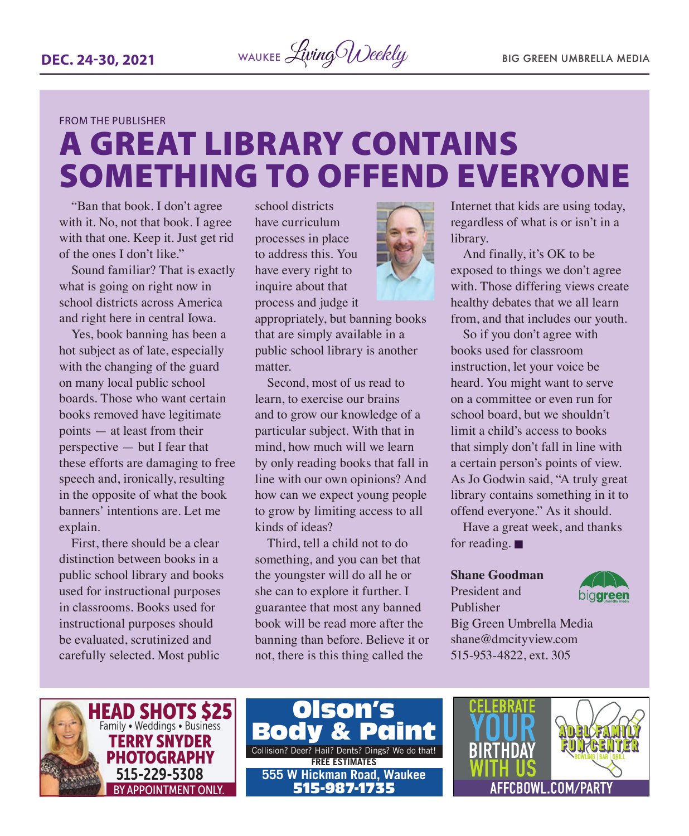#### FROM THE PUBLISHER

## A GREAT LIBRARY CONTAINS SOMETHING TO OFFEND EVERYONE

"Ban that book. I don't agree with it. No, not that book. I agree with that one. Keep it. Just get rid of the ones I don't like."

Sound familiar? That is exactly what is going on right now in school districts across America and right here in central Iowa.

Yes, book banning has been a hot subject as of late, especially with the changing of the guard on many local public school boards. Those who want certain books removed have legitimate points — at least from their perspective — but I fear that these efforts are damaging to free speech and, ironically, resulting in the opposite of what the book banners' intentions are. Let me explain.

First, there should be a clear distinction between books in a public school library and books used for instructional purposes in classrooms. Books used for instructional purposes should be evaluated, scrutinized and carefully selected. Most public

school districts have curriculum processes in place to address this. You have every right to inquire about that process and judge it

appropriately, but banning books that are simply available in a public school library is another matter.

Second, most of us read to learn, to exercise our brains and to grow our knowledge of a particular subject. With that in mind, how much will we learn by only reading books that fall in line with our own opinions? And how can we expect young people to grow by limiting access to all kinds of ideas?

Third, tell a child not to do something, and you can bet that the youngster will do all he or she can to explore it further. I guarantee that most any banned book will be read more after the banning than before. Believe it or not, there is this thing called the



Internet that kids are using today, regardless of what is or isn't in a library.

And finally, it's OK to be exposed to things we don't agree with. Those differing views create healthy debates that we all learn from, and that includes our youth.

So if you don't agree with books used for classroom instruction, let your voice be heard. You might want to serve on a committee or even run for school board, but we shouldn't limit a child's access to books that simply don't fall in line with a certain person's points of view. As Jo Godwin said, "A truly great library contains something in it to offend everyone." As it should.

Have a great week, and thanks for reading.  $\blacksquare$ 

#### **Shane Goodman**

President and Publisher



Big Green Umbrella Media shane@dmcityview.com 515-953-4822, ext. 305





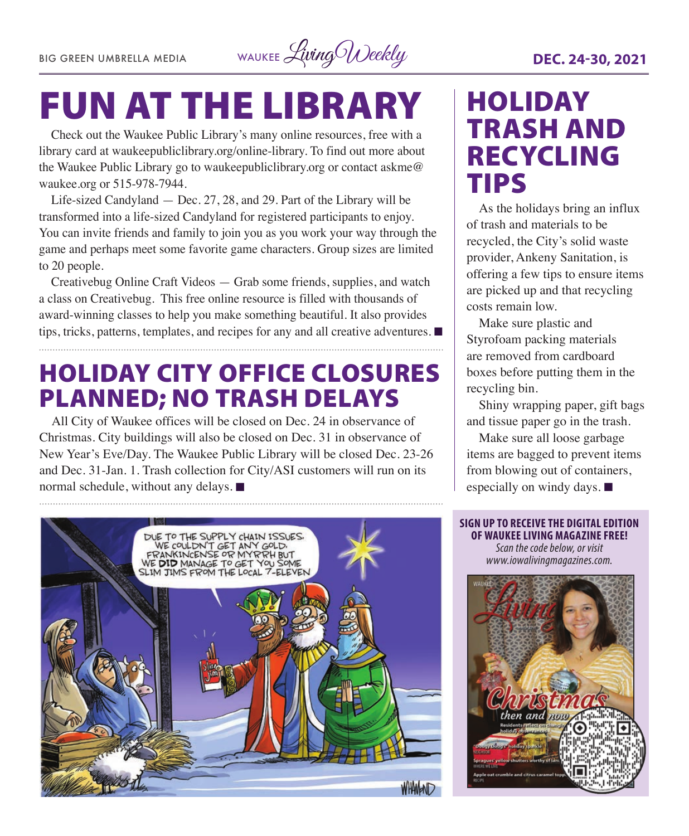BIG GREEN UMBRELLA MEDIA WAUKEE Living Weekly **DEC. 24-30, 2021** 

## FUN AT THE LIBRARY

Check out the Waukee Public Library's many online resources, free with a library card at waukeepubliclibrary.org/online-library. To find out more about the Waukee Public Library go to waukeepubliclibrary.org or contact askme@ waukee.org or 515-978-7944.

Life-sized Candyland — Dec. 27, 28, and 29. Part of the Library will be transformed into a life-sized Candyland for registered participants to enjoy. You can invite friends and family to join you as you work your way through the game and perhaps meet some favorite game characters. Group sizes are limited to 20 people.

Creativebug Online Craft Videos — Grab some friends, supplies, and watch a class on Creativebug. This free online resource is filled with thousands of award-winning classes to help you make something beautiful. It also provides tips, tricks, patterns, templates, and recipes for any and all creative adventures.  $\blacksquare$ 

### HOLIDAY CITY OFFICE CLOSURES PLANNED; NO TRASH DELAYS

All City of Waukee offices will be closed on Dec. 24 in observance of Christmas. City buildings will also be closed on Dec. 31 in observance of New Year's Eve/Day. The Waukee Public Library will be closed Dec. 23-26 and Dec. 31-Jan. 1. Trash collection for City/ASI customers will run on its normal schedule, without any delays.  $\blacksquare$ 

## HOLIDAY TRASH AND RECYCLING TIPS

As the holidays bring an influx of trash and materials to be recycled, the City's solid waste provider, Ankeny Sanitation, is offering a few tips to ensure items are picked up and that recycling costs remain low.

Make sure plastic and Styrofoam packing materials are removed from cardboard boxes before putting them in the recycling bin.

Shiny wrapping paper, gift bags and tissue paper go in the trash.

Make sure all loose garbage items are bagged to prevent items from blowing out of containers, especially on windy days.  $\blacksquare$ 



**SIGN UP TO RECEIVE THE DIGITAL EDITION OF WAUKEE LIVING MAGAZINE FREE!**  *Scan the code below, or visit www.iowalivingmagazines.com.*